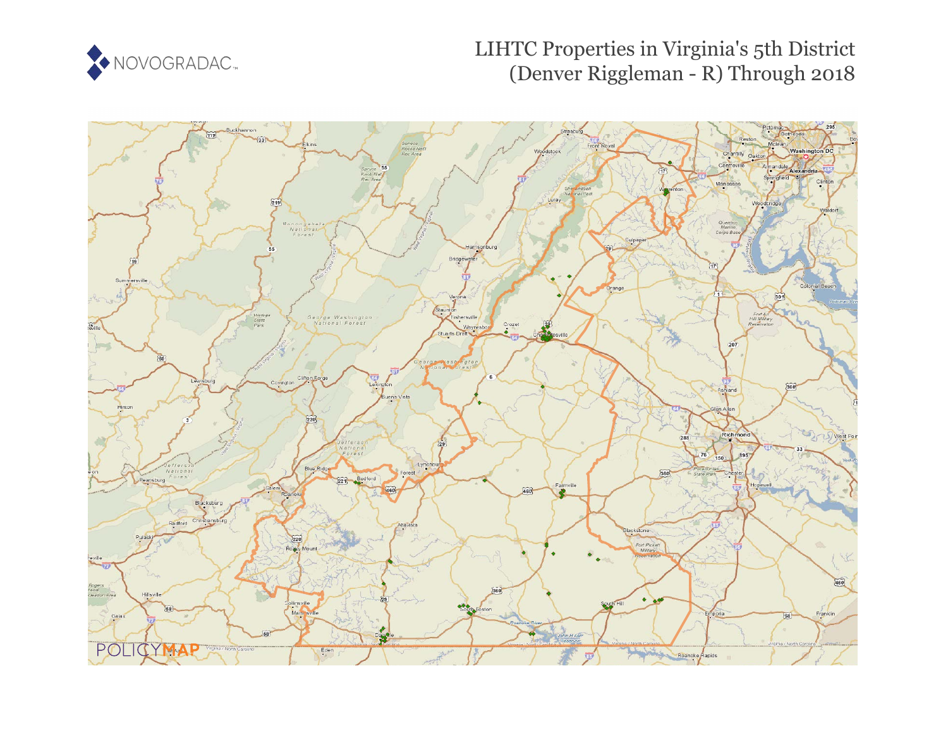

# LIHTC Properties in Virginia's 5th District (Denver Riggleman - R) Through 2018

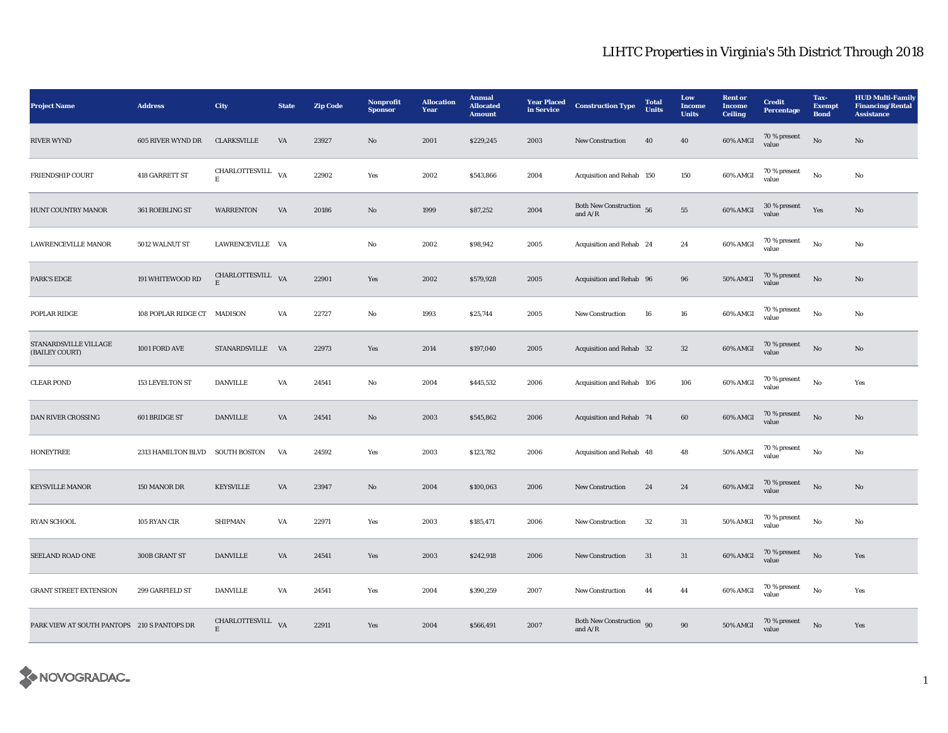| <b>Project Name</b>                         | <b>Address</b>                  | City                             | <b>State</b>           | <b>Zip Code</b> | Nonprofit<br><b>Sponsor</b> | <b>Allocation</b><br>Year | <b>Annual</b><br><b>Allocated</b><br><b>Amount</b> | <b>Year Placed</b><br>in Service | <b>Construction Type</b>                                | <b>Total</b><br><b>Units</b> | Low<br><b>Income</b><br><b>Units</b> | <b>Rent or</b><br><b>Income</b><br><b>Ceiling</b> | <b>Credit</b><br><b>Percentage</b> | Tax-<br><b>Exempt</b><br><b>Bond</b> | <b>HUD Multi-Family</b><br><b>Financing/Rental</b><br><b>Assistance</b> |
|---------------------------------------------|---------------------------------|----------------------------------|------------------------|-----------------|-----------------------------|---------------------------|----------------------------------------------------|----------------------------------|---------------------------------------------------------|------------------------------|--------------------------------------|---------------------------------------------------|------------------------------------|--------------------------------------|-------------------------------------------------------------------------|
| <b>RIVER WYND</b>                           | 605 RIVER WYND DR               | <b>CLARKSVILLE</b>               | VA                     | 23927           | $\mathbf{N}\mathbf{o}$      | 2001                      | \$229,245                                          | 2003                             | New Construction                                        | 40                           | 40                                   | 60% AMGI                                          | 70 % present<br>value              | $\rm No$                             | $\mathbf{N}\mathbf{o}$                                                  |
| <b>FRIENDSHIP COURT</b>                     | 418 GARRETT ST                  | CHARLOTTESVILL VA<br>$\mathbf E$ |                        | 22902           | Yes                         | 2002                      | \$543,866                                          | 2004                             | Acquisition and Rehab 150                               |                              | 150                                  | 60% AMGI                                          | 70 % present<br>value              | $\rm\, No$                           | $\mathbf{No}$                                                           |
| HUNT COUNTRY MANOR                          | 361 ROEBLING ST                 | <b>WARRENTON</b>                 | $\mathbf{V}\mathbf{A}$ | 20186           | $\mathbf{No}$               | 1999                      | \$87,252                                           | 2004                             | Both New Construction 56<br>and $A/R$                   |                              | ${\bf 55}$                           | 60% AMGI                                          | 30 % present<br>value              | Yes                                  | $\mathbf{N}\mathbf{o}$                                                  |
| LAWRENCEVILLE MANOR                         | 5012 WALNUT ST                  | LAWRENCEVILLE VA                 |                        |                 | No                          | 2002                      | \$98,942                                           | 2005                             | Acquisition and Rehab 24                                |                              | 24                                   | 60% AMGI                                          | 70 % present<br>value              | $\rm No$                             | No                                                                      |
| <b>PARK'S EDGE</b>                          | 191 WHITEWOOD RD                | CHARLOTTESVILL VA<br>E           |                        | 22901           | Yes                         | 2002                      | \$579,928                                          | 2005                             | Acquisition and Rehab 96                                |                              | 96                                   | <b>50% AMGI</b>                                   | 70 % present<br>value              | $\rm No$                             | No                                                                      |
| POPLAR RIDGE                                | 108 POPLAR RIDGE CT MADISON     |                                  | VA                     | 22727           | No                          | 1993                      | \$25,744                                           | 2005                             | New Construction                                        | 16                           | ${\bf 16}$                           | 60% AMGI                                          | $70\,\%$ present<br>value          | $\rm No$                             | No                                                                      |
| STANARDSVILLE VILLAGE<br>(BAILEY COURT)     | 1001 FORD AVE                   | STANARDSVILLE VA                 |                        | 22973           | Yes                         | 2014                      | \$197,040                                          | 2005                             | Acquisition and Rehab 32                                |                              | 32                                   | 60% AMGI                                          | 70 % present<br>value              | $\rm No$                             | No                                                                      |
| <b>CLEAR POND</b>                           | 153 LEVELTON ST                 | <b>DANVILLE</b>                  | VA                     | 24541           | No                          | 2004                      | \$445,532                                          | 2006                             | Acquisition and Rehab 106                               |                              | 106                                  | 60% AMGI                                          | 70 % present<br>value              | $\rm No$                             | Yes                                                                     |
| DAN RIVER CROSSING                          | 601 BRIDGE ST                   | <b>DANVILLE</b>                  | VA                     | 24541           | $\mathbf{No}$               | 2003                      | \$545,862                                          | 2006                             | Acquisition and Rehab 74                                |                              | 60                                   | 60% AMGI                                          | 70 % present<br>value              | $\rm No$                             | $\mathbf{No}$                                                           |
| <b>HONEYTREE</b>                            | 2313 HAMILTON BLVD SOUTH BOSTON |                                  | VA                     | 24592           | Yes                         | 2003                      | \$123,782                                          | 2006                             | Acquisition and Rehab 48                                |                              | 48                                   | 50% AMGI                                          | 70 % present<br>value              | No                                   | No                                                                      |
| <b>KEYSVILLE MANOR</b>                      | 150 MANOR DR                    | <b>KEYSVILLE</b>                 | VA                     | 23947           | $\mathbf{N}\mathbf{o}$      | 2004                      | \$100,063                                          | 2006                             | <b>New Construction</b>                                 | 24                           | 24                                   | 60% AMGI                                          | 70 % present<br>value              | $\rm No$                             | No                                                                      |
| RYAN SCHOOL                                 | 105 RYAN CIR                    | SHIPMAN                          | VA                     | 22971           | Yes                         | 2003                      | \$185,471                                          | 2006                             | New Construction                                        | 32                           | $31\,$                               | 50% AMGI                                          | 70 % present<br>value              | $\rm\, No$                           | No                                                                      |
| SEELAND ROAD ONE                            | 300B GRANT ST                   | <b>DANVILLE</b>                  | $\mathbf{V}\mathbf{A}$ | 24541           | Yes                         | 2003                      | \$242,918                                          | 2006                             | <b>New Construction</b>                                 | 31                           | $31\,$                               | 60% AMGI                                          | 70 % present<br>value              | $_{\rm No}$                          | Yes                                                                     |
| <b>GRANT STREET EXTENSION</b>               | 299 GARFIELD ST                 | <b>DANVILLE</b>                  | VA                     | 24541           | Yes                         | 2004                      | \$390,259                                          | 2007                             | <b>New Construction</b>                                 | 44                           | 44                                   | 60% AMGI                                          | 70 % present<br>value              | $\mathbf{No}$                        | Yes                                                                     |
| PARK VIEW AT SOUTH PANTOPS 210 S PANTOPS DR |                                 | CHARLOTTESVILL<br>E              | VA                     | 22911           | Yes                         | 2004                      | \$566,491                                          | 2007                             | Both New Construction 90<br>and $\mathrm{A}/\mathrm{R}$ |                              | $90\,$                               | <b>50% AMGI</b>                                   | 70 % present<br>value              | $\rm No$                             | Yes                                                                     |

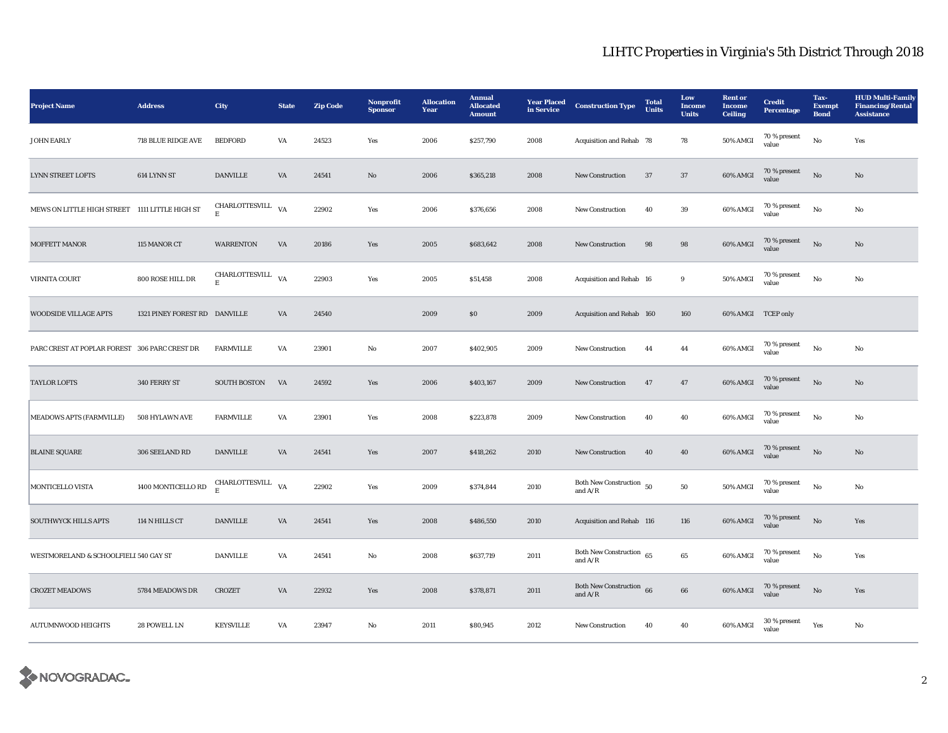| <b>Project Name</b>                            | <b>Address</b>                | City                                                                     | <b>State</b>           | <b>Zip Code</b> | Nonprofit<br><b>Sponsor</b> | <b>Allocation</b><br>Year | <b>Annual</b><br><b>Allocated</b><br><b>Amount</b> | <b>Year Placed</b><br>in Service | <b>Construction Type</b>                | <b>Total</b><br><b>Units</b> | Low<br>Income<br><b>Units</b> | <b>Rent</b> or<br>Income<br><b>Ceiling</b> | <b>Credit</b><br>Percentage | Tax-<br><b>Exempt</b><br><b>Bond</b> | <b>HUD Multi-Family</b><br><b>Financing/Rental</b><br><b>Assistance</b> |
|------------------------------------------------|-------------------------------|--------------------------------------------------------------------------|------------------------|-----------------|-----------------------------|---------------------------|----------------------------------------------------|----------------------------------|-----------------------------------------|------------------------------|-------------------------------|--------------------------------------------|-----------------------------|--------------------------------------|-------------------------------------------------------------------------|
| <b>JOHN EARLY</b>                              | 718 BLUE RIDGE AVE            | <b>BEDFORD</b>                                                           | VA                     | 24523           | Yes                         | 2006                      | \$257,790                                          | 2008                             | Acquisition and Rehab 78                |                              | 78                            | 50% AMGI                                   | 70 % present<br>value       | $\mathbf{N}\mathbf{o}$               | Yes                                                                     |
| <b>LYNN STREET LOFTS</b>                       | 614 LYNN ST                   | <b>DANVILLE</b>                                                          | VA                     | 24541           | $\mathbf{N}\mathbf{o}$      | 2006                      | \$365,218                                          | 2008                             | New Construction                        | 37                           | $37\,$                        | 60% AMGI                                   | 70 % present<br>value       | $\rm No$                             | $\mathbf{No}$                                                           |
| MEWS ON LITTLE HIGH STREET 1111 LITTLE HIGH ST |                               | CHARLOTTESVILL<br>E                                                      | VA                     | 22902           | Yes                         | 2006                      | \$376,656                                          | 2008                             | New Construction                        | 40                           | $39\,$                        | 60% AMGI                                   | 70 % present<br>value       | $_{\rm No}$                          | No                                                                      |
| MOFFETT MANOR                                  | 115 MANOR CT                  | <b>WARRENTON</b>                                                         | $\mathbf{V}\mathbf{A}$ | 20186           | Yes                         | 2005                      | \$683,642                                          | 2008                             | New Construction                        | $\bf{98}$                    | $\bf{98}$                     | 60% AMGI                                   | 70 % present<br>value       | $\mathbf{N}\mathbf{o}$               | $\mathbf{N}\mathbf{o}$                                                  |
| <b>VIRNITA COURT</b>                           | 800 ROSE HILL DR              | CHARLOTTESVILL VA<br>Е                                                   |                        | 22903           | Yes                         | 2005                      | \$51,458                                           | 2008                             | Acquisition and Rehab 16                |                              | $\boldsymbol{9}$              | <b>50% AMGI</b>                            | 70 % present<br>value       | $_{\rm No}$                          | No                                                                      |
| <b>WOODSIDE VILLAGE APTS</b>                   | 1321 PINEY FOREST RD DANVILLE |                                                                          | VA                     | 24540           |                             | 2009                      | $\$0$                                              | 2009                             | Acquisition and Rehab 160               |                              | 160                           | 60% AMGI TCEP only                         |                             |                                      |                                                                         |
| PARC CREST AT POPLAR FOREST 306 PARC CREST DR  |                               | <b>FARMVILLE</b>                                                         | VA                     | 23901           | No                          | 2007                      | \$402,905                                          | 2009                             | New Construction                        | 44                           | $\bf 44$                      | 60% AMGI                                   | $70$ % present value        | No                                   | No                                                                      |
| <b>TAYLOR LOFTS</b>                            | 340 FERRY ST                  | SOUTH BOSTON                                                             | VA                     | 24592           | Yes                         | 2006                      | \$403,167                                          | 2009                             | New Construction                        | 47                           | 47                            | 60% AMGI                                   | 70 % present<br>value       | $_{\rm No}$                          | No                                                                      |
| MEADOWS APTS (FARMVILLE)                       | 508 HYLAWN AVE                | <b>FARMVILLE</b>                                                         | $\mathbf{V}\mathbf{A}$ | 23901           | Yes                         | 2008                      | \$223,878                                          | 2009                             | New Construction                        | 40                           | 40                            | 60% AMGI                                   | 70 % present<br>value       | $\mathbf{N}\mathbf{o}$               | $\rm No$                                                                |
| <b>BLAINE SQUARE</b>                           | 306 SEELAND RD                | <b>DANVILLE</b>                                                          | VA                     | 24541           | Yes                         | 2007                      | \$418,262                                          | 2010                             | New Construction                        | 40                           | ${\bf 40}$                    | 60% AMGI                                   | $70\,\%$ present<br>value   | No                                   | $\mathbf{No}$                                                           |
| MONTICELLO VISTA                               | $1400$ MONTICELLO RD          | $\begin{array}{lll} \textbf{CHARLOTTESVILL} & & \textbf{VA} \end{array}$ |                        | 22902           | Yes                         | 2009                      | \$374,844                                          | 2010                             | Both New Construction $50$<br>and $A/R$ |                              | $50\,$                        | 50% AMGI                                   | 70 % present<br>value       | $\mathbf{N}\mathbf{o}$               | No                                                                      |
| <b>SOUTHWYCK HILLS APTS</b>                    | 114 N HILLS CT                | <b>DANVILLE</b>                                                          | $\mathsf{V}\mathsf{A}$ | 24541           | Yes                         | 2008                      | \$486,550                                          | 2010                             | Acquisition and Rehab 116               |                              | $116\,$                       | 60% AMGI                                   | 70 % present<br>value       | $\mathbf{N}\mathbf{o}$               | Yes                                                                     |
| WESTMORELAND & SCHOOLFIELI 540 GAY ST          |                               | <b>DANVILLE</b>                                                          | VA                     | 24541           | No                          | 2008                      | \$637,719                                          | 2011                             | Both New Construction 65<br>and $A/R$   |                              | $\bf 65$                      | 60% AMGI                                   | 70 % present<br>value       | $_{\rm No}$                          | Yes                                                                     |
| <b>CROZET MEADOWS</b>                          | 5784 MEADOWS DR               | ${\tt CROZET}$                                                           | VA                     | 22932           | Yes                         | 2008                      | \$378,871                                          | 2011                             | Both New Construction 66<br>and $A/R$   |                              | 66                            | 60% AMGI                                   | 70 % present<br>value       | $\rm No$                             | Yes                                                                     |
| <b>AUTUMNWOOD HEIGHTS</b>                      | 28 POWELL LN                  | <b>KEYSVILLE</b>                                                         | VA                     | 23947           | No                          | 2011                      | \$80,945                                           | 2012                             | New Construction                        | 40                           | 40                            | 60% AMGI                                   | 30 % present<br>value       | Yes                                  | No                                                                      |

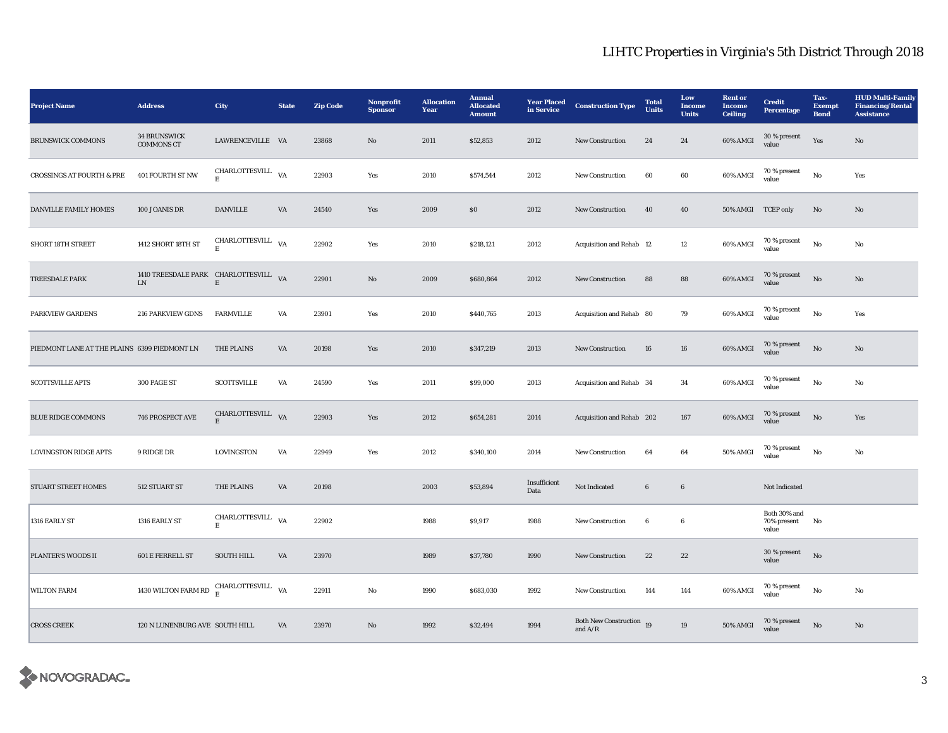| <b>Project Name</b>                          | <b>Address</b>                                                                           | City                             | <b>State</b> | <b>Zip Code</b> | Nonprofit<br><b>Sponsor</b> | <b>Allocation</b><br>Year | <b>Annual</b><br><b>Allocated</b><br><b>Amount</b> | <b>Year Placed</b><br>in Service | <b>Construction Type</b>              | <b>Total</b><br><b>Units</b> | Low<br>Income<br><b>Units</b> | <b>Rent or</b><br>Income<br><b>Ceiling</b> | <b>Credit</b><br><b>Percentage</b>   | Tax-<br><b>Exempt</b><br><b>Bond</b> | <b>HUD Multi-Family</b><br><b>Financing/Rental</b><br><b>Assistance</b> |
|----------------------------------------------|------------------------------------------------------------------------------------------|----------------------------------|--------------|-----------------|-----------------------------|---------------------------|----------------------------------------------------|----------------------------------|---------------------------------------|------------------------------|-------------------------------|--------------------------------------------|--------------------------------------|--------------------------------------|-------------------------------------------------------------------------|
| <b>BRUNSWICK COMMONS</b>                     | <b>34 BRUNSWICK</b><br><b>COMMONS CT</b>                                                 | LAWRENCEVILLE VA                 |              | 23868           | No                          | 2011                      | \$52,853                                           | 2012                             | New Construction                      | 24                           | 24                            | 60% AMGI                                   | 30 % present<br>value                | Yes                                  | $\rm No$                                                                |
| <b>CROSSINGS AT FOURTH &amp; PRE</b>         | 401 FOURTH ST NW                                                                         | CHARLOTTESVILL VA<br>$\mathbf E$ |              | 22903           | Yes                         | 2010                      | \$574,544                                          | 2012                             | New Construction                      | 60                           | $\bf{60}$                     | 60% AMGI                                   | 70 % present<br>value                | $_{\rm No}$                          | Yes                                                                     |
| DANVILLE FAMILY HOMES                        | 100 JOANIS DR                                                                            | <b>DANVILLE</b>                  | VA           | 24540           | Yes                         | 2009                      | \$0\$                                              | 2012                             | <b>New Construction</b>               | 40                           | 40                            | 50% AMGI TCEP only                         |                                      | No                                   | No                                                                      |
| SHORT 18TH STREET                            | 1412 SHORT 18TH ST                                                                       | CHARLOTTESVILL VA<br>$\mathbf E$ |              | 22902           | Yes                         | 2010                      | \$218,121                                          | 2012                             | Acquisition and Rehab 12              |                              | 12                            | 60% AMGI                                   | 70 % present<br>value                | $_{\rm No}$                          | No                                                                      |
| TREESDALE PARK                               | 1410 TREESDALE PARK CHARLOTTESVILL VA<br>${\rm LN}$                                      | $\mathbf E$                      |              | 22901           | $\mathbf{N}\mathbf{o}$      | 2009                      | \$680,864                                          | 2012                             | <b>New Construction</b>               | 88                           | 88                            | 60% AMGI                                   | $70\,\%$ present<br>value            | $\rm \bf No$                         | $\mathbf{N}\mathbf{o}$                                                  |
| <b>PARKVIEW GARDENS</b>                      | <b>216 PARKVIEW GDNS</b>                                                                 | <b>FARMVILLE</b>                 | VA           | 23901           | Yes                         | 2010                      | \$440,765                                          | 2013                             | Acquisition and Rehab 80              |                              | 79                            | 60% AMGI                                   | 70 % present<br>value                | $_{\rm No}$                          | Yes                                                                     |
| PIEDMONT LANE AT THE PLAINS 6399 PIEDMONT LN |                                                                                          | <b>THE PLAINS</b>                | VA           | 20198           | Yes                         | 2010                      | \$347,219                                          | 2013                             | <b>New Construction</b>               | 16                           | ${\bf 16}$                    | 60% AMGI                                   | 70 % present<br>value                | $\rm \bf No$                         | No                                                                      |
| <b>SCOTTSVILLE APTS</b>                      | 300 PAGE ST                                                                              | <b>SCOTTSVILLE</b>               | VA           | 24590           | Yes                         | 2011                      | \$99,000                                           | 2013                             | Acquisition and Rehab 34              |                              | 34                            | 60% AMGI                                   | 70 % present<br>value                | $_{\rm No}$                          | $\mathbf{No}$                                                           |
| <b>BLUE RIDGE COMMONS</b>                    | 746 PROSPECT AVE                                                                         | CHARLOTTESVILL VA<br>$\mathbf E$ |              | 22903           | Yes                         | 2012                      | \$654,281                                          | 2014                             | Acquisition and Rehab 202             |                              | 167                           | 60% AMGI                                   | 70 % present<br>value                | $\rm \bf No$                         | Yes                                                                     |
| <b>LOVINGSTON RIDGE APTS</b>                 | 9 RIDGE DR                                                                               | LOVINGSTON                       | VA           | 22949           | Yes                         | 2012                      | \$340,100                                          | 2014                             | <b>New Construction</b>               | 64                           | 64                            | <b>50% AMGI</b>                            | 70 % present<br>value                | $_{\rm No}$                          | No                                                                      |
| <b>STUART STREET HOMES</b>                   | 512 STUART ST                                                                            | <b>THE PLAINS</b>                | VA           | 20198           |                             | 2003                      | \$53,894                                           | Insufficient<br>Data             | Not Indicated                         | $6\phantom{.0}$              | 6                             |                                            | Not Indicated                        |                                      |                                                                         |
| 1316 EARLY ST                                | 1316 EARLY ST                                                                            | CHARLOTTESVILL VA<br>$\mathbf E$ |              | 22902           |                             | 1988                      | \$9,917                                            | 1988                             | New Construction                      | 6                            | 6                             |                                            | Both 30% and<br>70% present<br>value | No                                   |                                                                         |
| PLANTER'S WOODS II                           | 601 E FERRELL ST                                                                         | <b>SOUTH HILL</b>                | VA           | 23970           |                             | 1989                      | \$37,780                                           | 1990                             | New Construction                      | 22                           | $\bf{22}$                     |                                            | 30 % present<br>value                | $\rm No$                             |                                                                         |
| <b>WILTON FARM</b>                           | 1430 WILTON FARM RD $\begin{array}{ll} \text{CHARLOTTESVILL} \\ \text{E} \end{array}$ VA |                                  |              | 22911           | $_{\rm No}$                 | 1990                      | \$683,030                                          | 1992                             | New Construction                      | 144                          | 144                           | 60% AMGI                                   | 70 % present<br>value                | $_{\rm No}$                          | No                                                                      |
| <b>CROSS CREEK</b>                           | 120 N LUNENBURG AVE SOUTH HILL                                                           |                                  | VA           | 23970           | $\mathbf{No}$               | 1992                      | \$32,494                                           | 1994                             | Both New Construction 19<br>and $A/R$ |                              | 19                            | 50% AMGI                                   | 70 % present<br>value                | $_{\rm No}$                          | $\mathbf{No}$                                                           |

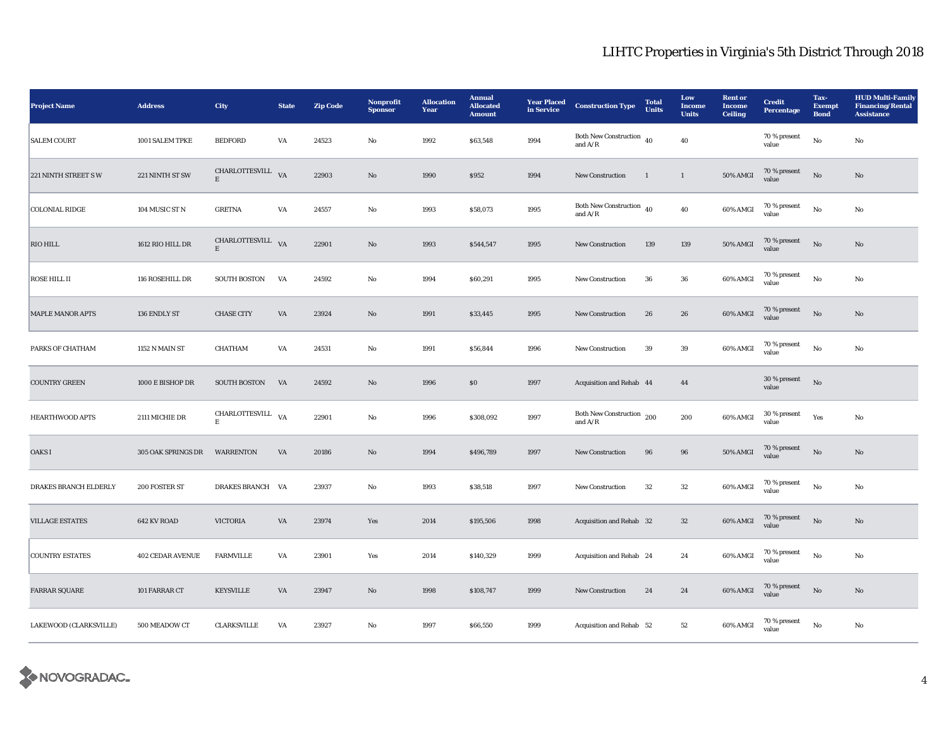| <b>Project Name</b>     | <b>Address</b>          | City                   | <b>State</b> | <b>Zip Code</b> | Nonprofit<br><b>Sponsor</b> | <b>Allocation</b><br>Year | <b>Annual</b><br><b>Allocated</b><br><b>Amount</b> | <b>Year Placed</b><br>in Service | <b>Construction Type</b>                                             | <b>Total</b><br><b>Units</b> | Low<br><b>Income</b><br><b>Units</b> | <b>Rent</b> or<br>Income<br><b>Ceiling</b> | <b>Credit</b><br>Percentage | Tax-<br><b>Exempt</b><br><b>Bond</b> | <b>HUD Multi-Family</b><br><b>Financing/Rental</b><br><b>Assistance</b> |
|-------------------------|-------------------------|------------------------|--------------|-----------------|-----------------------------|---------------------------|----------------------------------------------------|----------------------------------|----------------------------------------------------------------------|------------------------------|--------------------------------------|--------------------------------------------|-----------------------------|--------------------------------------|-------------------------------------------------------------------------|
| <b>SALEM COURT</b>      | 1001 SALEM TPKE         | <b>BEDFORD</b>         | VA           | 24523           | No                          | 1992                      | \$63,548                                           | 1994                             | Both New Construction $\overline{40}$<br>and $\mathrm{A}/\mathrm{R}$ |                              | 40                                   |                                            | 70 % present<br>value       | No                                   | No                                                                      |
| 221 NINTH STREET SW     | 221 NINTH ST SW         | CHARLOTTESVILL VA<br>E |              | 22903           | $\mathbf{N}\mathbf{o}$      | 1990                      | \$952                                              | 1994                             | <b>New Construction</b>                                              | $\mathbf{1}$                 | $\mathbf{1}$                         | <b>50% AMGI</b>                            | $70$ % present value        | $\rm No$                             | No                                                                      |
| <b>COLONIAL RIDGE</b>   | 104 MUSIC ST N          | <b>GRETNA</b>          | VA           | 24557           | No                          | 1993                      | \$58,073                                           | 1995                             | Both New Construction $\,$ 40 $\,$<br>and $A/R$                      |                              | 40                                   | 60% AMGI                                   | 70 % present<br>value       | No                                   | No                                                                      |
| <b>RIO HILL</b>         | 1612 RIO HILL DR        | CHARLOTTESVILL VA<br>E |              | 22901           | $\rm No$                    | 1993                      | \$544,547                                          | 1995                             | <b>New Construction</b>                                              | 139                          | 139                                  | 50% AMGI                                   | 70 % present<br>value       | $_{\rm No}$                          | No                                                                      |
| <b>ROSE HILL II</b>     | 116 ROSEHILL DR         | <b>SOUTH BOSTON</b>    | VA           | 24592           | $_{\rm No}$                 | 1994                      | \$60,291                                           | 1995                             | New Construction                                                     | ${\bf 36}$                   | ${\bf 36}$                           | 60% AMGI                                   | 70 % present<br>value       | $\rm\thinspace No$                   | $\rm No$                                                                |
| <b>MAPLE MANOR APTS</b> | 136 ENDLY ST            | <b>CHASE CITY</b>      | VA           | 23924           | No                          | 1991                      | \$33,445                                           | 1995                             | New Construction                                                     | 26                           | 26                                   | 60% AMGI                                   | 70 % present<br>value       | No                                   | No                                                                      |
| PARKS OF CHATHAM        | 1152 N MAIN ST          | CHATHAM                | VA           | 24531           | No                          | 1991                      | \$56,844                                           | 1996                             | <b>New Construction</b>                                              | 39                           | $39\,$                               | 60% AMGI                                   | 70 % present<br>value       | $_{\rm No}$                          | No                                                                      |
| <b>COUNTRY GREEN</b>    | 1000 E BISHOP DR        | <b>SOUTH BOSTON</b>    | VA           | 24592           | $\mathbf{N}\mathbf{o}$      | 1996                      | \$0\$                                              | 1997                             | Acquisition and Rehab 44                                             |                              | 44                                   |                                            | 30 % present<br>value       | $\rm No$                             |                                                                         |
| <b>HEARTHWOOD APTS</b>  | 2111 MICHIE DR          | CHARLOTTESVILL VA<br>Е |              | 22901           | No                          | 1996                      | \$308,092                                          | 1997                             | Both New Construction 200<br>and $A/R$                               |                              | 200                                  | 60% AMGI                                   | $30$ % present value        | Yes                                  | No                                                                      |
| OAKS I                  | 305 OAK SPRINGS DR      | <b>WARRENTON</b>       | VA           | 20186           | $\rm No$                    | 1994                      | \$496,789                                          | 1997                             | New Construction                                                     | ${\bf 96}$                   | $\bf{96}$                            | 50% AMGI                                   | $70\,\%$ present<br>value   | $_{\rm No}$                          | $\mathbf{N}\mathbf{o}$                                                  |
| DRAKES BRANCH ELDERLY   | 200 FOSTER ST           | DRAKES BRANCH VA       |              | 23937           | $_{\rm No}$                 | 1993                      | \$38,518                                           | 1997                             | New Construction                                                     | $32\,$                       | $32\,$                               | 60% AMGI                                   | 70 % present<br>value       | $\rm\thinspace No$                   | No                                                                      |
| <b>VILLAGE ESTATES</b>  | 642 KV ROAD             | <b>VICTORIA</b>        | VA           | 23974           | Yes                         | 2014                      | \$195,506                                          | 1998                             | Acquisition and Rehab 32                                             |                              | $32\,$                               | 60% AMGI                                   | 70 % present<br>value       | $\rm No$                             | No                                                                      |
| <b>COUNTRY ESTATES</b>  | <b>402 CEDAR AVENUE</b> | <b>FARMVILLE</b>       | VA           | 23901           | Yes                         | 2014                      | \$140,329                                          | 1999                             | Acquisition and Rehab 24                                             |                              | 24                                   | 60% AMGI                                   | $70\,\%$ present<br>value   | No                                   | No                                                                      |
| <b>FARRAR SQUARE</b>    | 101 FARRAR CT           | KEYSVILLE              | VA           | 23947           | $\mathbf{No}$               | 1998                      | \$108,747                                          | 1999                             | New Construction                                                     | 24                           | $\bf 24$                             | 60% AMGI                                   | 70 % present<br>value       | $_{\rm No}$                          | No                                                                      |
| LAKEWOOD (CLARKSVILLE)  | 500 MEADOW CT           | <b>CLARKSVILLE</b>     | VA           | 23927           | No                          | 1997                      | \$66,550                                           | 1999                             | Acquisition and Rehab 52                                             |                              | $52\,$                               | 60% AMGI                                   | $70$ % present<br>value     | No                                   | No                                                                      |

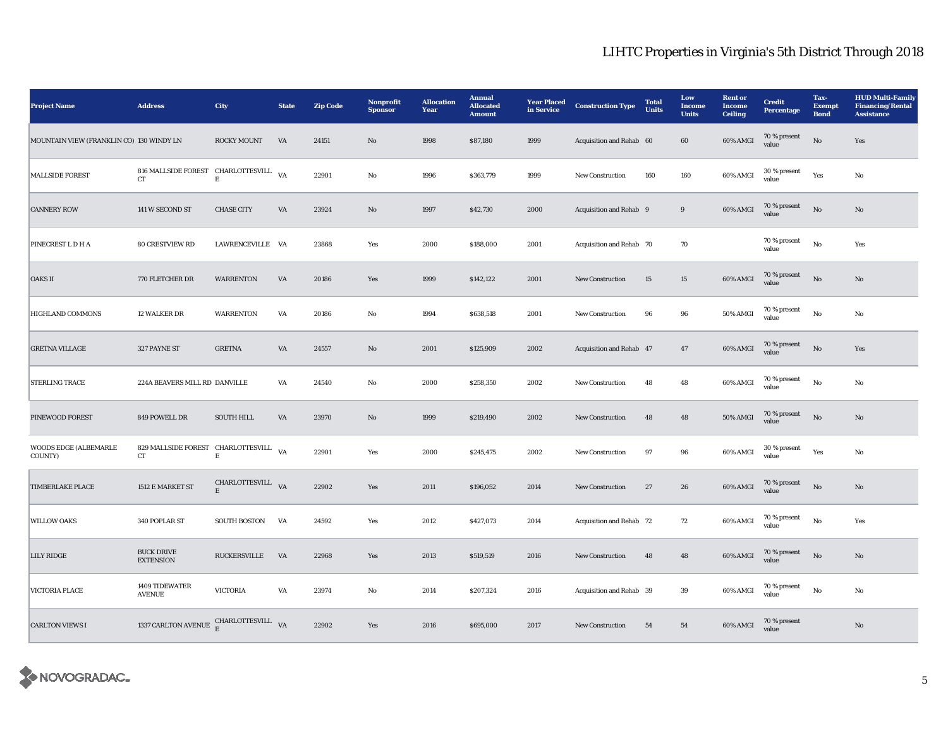| <b>Project Name</b>                      | <b>Address</b>                              | <b>City</b>            | <b>State</b> | <b>Zip Code</b> | Nonprofit<br><b>Sponsor</b> | <b>Allocation</b><br>Year | <b>Annual</b><br><b>Allocated</b><br><b>Amount</b> | <b>Year Placed</b><br>in Service | <b>Construction Type</b> | <b>Total</b><br><b>Units</b> | Low<br>Income<br><b>Units</b> | <b>Rent or</b><br>Income<br><b>Ceiling</b> | <b>Credit</b><br><b>Percentage</b> | Tax-<br><b>Exempt</b><br><b>Bond</b> | <b>HUD Multi-Family</b><br><b>Financing/Rental</b><br><b>Assistance</b> |
|------------------------------------------|---------------------------------------------|------------------------|--------------|-----------------|-----------------------------|---------------------------|----------------------------------------------------|----------------------------------|--------------------------|------------------------------|-------------------------------|--------------------------------------------|------------------------------------|--------------------------------------|-------------------------------------------------------------------------|
| MOUNTAIN VIEW (FRANKLIN CO) 130 WINDY LN |                                             | ROCKY MOUNT            | VA           | 24151           | $\rm No$                    | 1998                      | \$87,180                                           | 1999                             | Acquisition and Rehab 60 |                              | 60                            | 60% AMGI                                   | 70 % present<br>value              | $\rm No$                             | Yes                                                                     |
| <b>MALLSIDE FOREST</b>                   | 816 MALLSIDE FOREST CHARLOTTESVILL VA<br>CT | $\mathbf E$            |              | 22901           | No                          | 1996                      | \$363,779                                          | 1999                             | <b>New Construction</b>  | 160                          | 160                           | 60% AMGI                                   | 30 % present<br>value              | Yes                                  | No                                                                      |
| <b>CANNERY ROW</b>                       | 141 W SECOND ST                             | <b>CHASE CITY</b>      | VA           | 23924           | No                          | 1997                      | \$42,730                                           | 2000                             | Acquisition and Rehab 9  |                              | 9                             | 60% AMGI                                   | 70 % present<br>value              | No                                   | No                                                                      |
| PINECREST L D H A                        | <b>80 CRESTVIEW RD</b>                      | LAWRENCEVILLE VA       |              | 23868           | Yes                         | 2000                      | \$188,000                                          | 2001                             | Acquisition and Rehab 70 |                              | 70                            |                                            | 70 % present<br>value              | No                                   | Yes                                                                     |
| <b>OAKS II</b>                           | 770 FLETCHER DR                             | <b>WARRENTON</b>       | VA           | 20186           | Yes                         | 1999                      | \$142,122                                          | 2001                             | <b>New Construction</b>  | 15                           | 15                            | 60% AMGI                                   | 70 % present<br>value              | $\rm No$                             | No                                                                      |
| <b>HIGHLAND COMMONS</b>                  | 12 WALKER DR                                | <b>WARRENTON</b>       | VA           | 20186           | No                          | 1994                      | \$638,518                                          | 2001                             | <b>New Construction</b>  | 96                           | 96                            | 50% AMGI                                   | 70 % present<br>value              | No                                   | No                                                                      |
| <b>GRETNA VILLAGE</b>                    | 327 PAYNE ST                                | <b>GRETNA</b>          | VA           | 24557           | $\mathbf{N}\mathbf{o}$      | 2001                      | \$125,909                                          | 2002                             | Acquisition and Rehab 47 |                              | 47                            | 60% AMGI                                   | 70 % present<br>value              | No                                   | Yes                                                                     |
| <b>STERLING TRACE</b>                    | 224A BEAVERS MILL RD DANVILLE               |                        | VA           | 24540           | No                          | 2000                      | \$258,350                                          | 2002                             | <b>New Construction</b>  | 48                           | 48                            | 60% AMGI                                   | 70 % present<br>value              | No                                   | No                                                                      |
| PINEWOOD FOREST                          | 849 POWELL DR                               | <b>SOUTH HILL</b>      | VA           | 23970           | No                          | 1999                      | \$219,490                                          | 2002                             | New Construction         | 48                           | 48                            | 50% AMGI                                   | 70 % present<br>value              | No                                   | No                                                                      |
| WOODS EDGE (ALBEMARLE<br>COUNTY)         | 829 MALLSIDE FOREST CHARLOTTESVILL VA<br>CT | $\mathbf E$            |              | 22901           | Yes                         | 2000                      | \$245,475                                          | 2002                             | New Construction         | 97                           | 96                            | 60% AMGI                                   | 30 % present<br>value              | Yes                                  | No                                                                      |
| <b>TIMBERLAKE PLACE</b>                  | 1512 E MARKET ST                            | CHARLOTTESVILL VA<br>E |              | 22902           | Yes                         | 2011                      | \$196,052                                          | 2014                             | New Construction         | 27                           | 26                            | 60% AMGI                                   | 70 % present<br>value              | No                                   | No                                                                      |
| <b>WILLOW OAKS</b>                       | 340 POPLAR ST                               | SOUTH BOSTON           | VA           | 24592           | Yes                         | 2012                      | \$427,073                                          | 2014                             | Acquisition and Rehab 72 |                              | 72                            | 60% AMGI                                   | 70 % present<br>value              | $_{\rm No}$                          | Yes                                                                     |
| <b>LILY RIDGE</b>                        | <b>BUCK DRIVE</b><br><b>EXTENSION</b>       | <b>RUCKERSVILLE</b>    | VA           | 22968           | Yes                         | 2013                      | \$519,519                                          | 2016                             | New Construction         | 48                           | $\bf 48$                      | 60% AMGI                                   | 70 % present<br>value              | $\rm No$                             | No                                                                      |
| VICTORIA PLACE                           | 1409 TIDEWATER<br><b>AVENUE</b>             | <b>VICTORIA</b>        | VA           | 23974           | $_{\rm No}$                 | 2014                      | \$207,324                                          | 2016                             | Acquisition and Rehab 39 |                              | 39                            | 60% AMGI                                   | 70 % present<br>value              | $_{\rm No}$                          | No                                                                      |
| <b>CARLTON VIEWS I</b>                   | 1337 CARLTON AVENUE CHARLOTTESVILL VA       |                        |              | 22902           | Yes                         | 2016                      | \$695,000                                          | 2017                             | <b>New Construction</b>  | 54                           | ${\bf 54}$                    | 60% AMGI                                   | 70 % present<br>value              |                                      | No                                                                      |